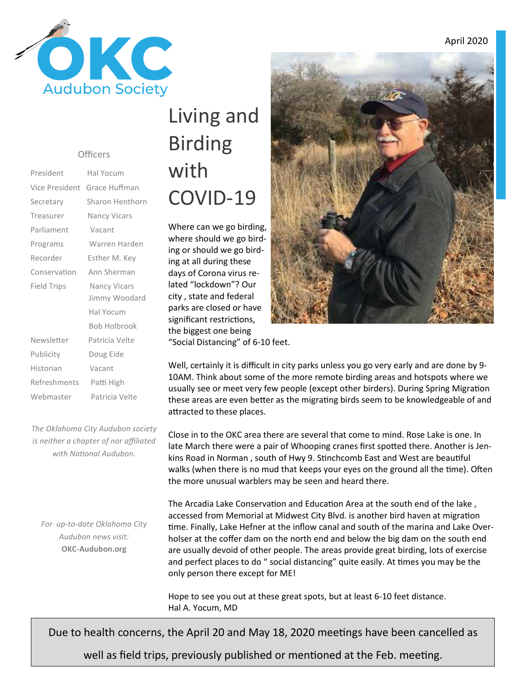

#### **Officers**

| President          | Hal Yocum           |
|--------------------|---------------------|
| Vice President     | Grace Huffman       |
| Secretary          | Sharon Henthorn     |
| Treasurer          | Nancy Vicars        |
| Parliament         | Vacant              |
| Programs           | Warren Harden       |
| Recorder           | Esther M. Key       |
| Conservation       | Ann Sherman         |
| <b>Field Trips</b> | <b>Nancy Vicars</b> |
|                    | Jimmy Woodard       |
|                    | Hal Yocum           |
|                    | Bob Holbrook        |
| Newsletter         | Patricia Velte      |
| Publicity          | Doug Eide           |
| Historian          | Vacant              |
| Refreshments       | Patti High          |
| Webmaster          | Patricia Velte      |

*The Oklahoma City Audubon society is neither a chapter of nor affiliated*  with National Audubon.

*For up-to-date Oklahoma City Audubon news visit:* **OKC-Audubon.org** 

# Living and Birding with COVID-19

Where can we go birding, where should we go birding or should we go birding at all during these days of Corona virus related "lockdown"? Our city , state and federal parks are closed or have significant restrictions, the biggest one being "Social Distancing" of 6-10 feet.



Well, certainly it is difficult in city parks unless you go very early and are done by 9- 10AM. Think about some of the more remote birding areas and hotspots where we usually see or meet very few people (except other birders). During Spring Migration these areas are even better as the migrating birds seem to be knowledgeable of and attracted to these places.

Close in to the OKC area there are several that come to mind. Rose Lake is one. In late March there were a pair of Whooping cranes first spotted there. Another is Jenkins Road in Norman, south of Hwy 9. Stinchcomb East and West are beautiful walks (when there is no mud that keeps your eyes on the ground all the time). Often the more unusual warblers may be seen and heard there.

The Arcadia Lake Conservation and Education Area at the south end of the lake, accessed from Memorial at Midwest City Blvd. is another bird haven at migration time. Finally, Lake Hefner at the inflow canal and south of the marina and Lake Overholser at the coffer dam on the north end and below the big dam on the south end are usually devoid of other people. The areas provide great birding, lots of exercise and perfect places to do " social distancing" quite easily. At times you may be the only person there except for ME!

Hope to see you out at these great spots, but at least 6-10 feet distance. Hal A. Yocum, MD

Due to health concerns, the April 20 and May 18, 2020 meetings have been cancelled as

well as field trips, previously published or mentioned at the Feb. meeting.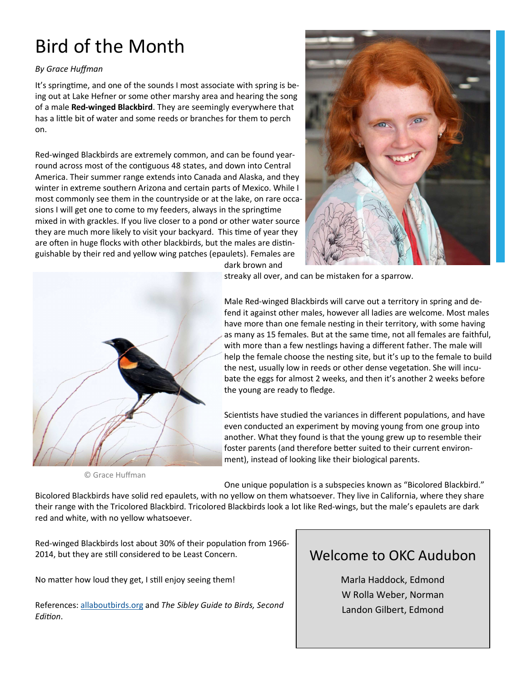## Bird of the Month

#### *By Grace Huffman*

It's springtime, and one of the sounds I most associate with spring is being out at Lake Hefner or some other marshy area and hearing the song of a male **Red-winged Blackbird**. They are seemingly everywhere that has a little bit of water and some reeds or branches for them to perch on.

Red-winged Blackbirds are extremely common, and can be found yearround across most of the contiguous 48 states, and down into Central America. Their summer range extends into Canada and Alaska, and they winter in extreme southern Arizona and certain parts of Mexico. While I most commonly see them in the countryside or at the lake, on rare occasions I will get one to come to my feeders, always in the springtime mixed in with grackles. If you live closer to a pond or other water source they are much more likely to visit your backyard. This time of year they are often in huge flocks with other blackbirds, but the males are distinguishable by their red and yellow wing patches (epaulets). Females are





dark brown and

streaky all over, and can be mistaken for a sparrow.

Male Red-winged Blackbirds will carve out a territory in spring and defend it against other males, however all ladies are welcome. Most males have more than one female nesting in their territory, with some having as many as 15 females. But at the same time, not all females are faithful, with more than a few nestlings having a different father. The male will help the female choose the nesting site, but it's up to the female to build the nest, usually low in reeds or other dense vegetation. She will incubate the eggs for almost 2 weeks, and then it's another 2 weeks before the young are ready to fledge.

Scientists have studied the variances in different populations, and have even conducted an experiment by moving young from one group into another. What they found is that the young grew up to resemble their foster parents (and therefore better suited to their current environment), instead of looking like their biological parents.

© Grace Huffman

One unique population is a subspecies known as "Bicolored Blackbird."

Bicolored Blackbirds have solid red epaulets, with no yellow on them whatsoever. They live in California, where they share their range with the Tricolored Blackbird. Tricolored Blackbirds look a lot like Red-wings, but the male's epaulets are dark red and white, with no yellow whatsoever.

Red-winged Blackbirds lost about 30% of their population from 1966-2014, but they are still considered to be Least Concern.

No matter how loud they get, I still enjoy seeing them!

References: allaboutbirds.org and *The Sibley Guide to Birds, Second Edion*.

### Welcome to OKC Audubon

Marla Haddock, Edmond W Rolla Weber, Norman Landon Gilbert, Edmond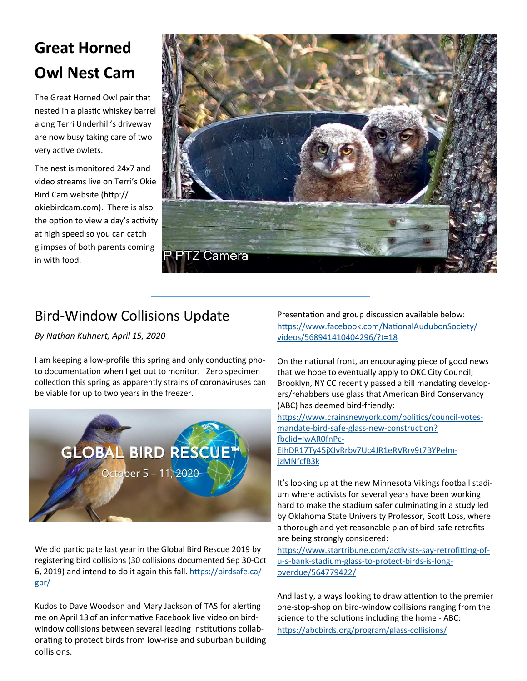## **Great Horned Owl Nest Cam**

The Great Horned Owl pair that nested in a plastic whiskey barrel along Terri Underhill's driveway are now busy taking care of two very active owlets.

The nest is monitored 24x7 and video streams live on Terri's Okie Bird Cam website (http:// okiebirdcam.com). There is also the option to view a day's activity at high speed so you can catch glimpses of both parents coming in with food.



### Bird-Window Collisions Update

*By Nathan Kuhnert, April 15, 2020* 

I am keeping a low-profile this spring and only conducting photo documentation when I get out to monitor. Zero specimen collection this spring as apparently strains of coronaviruses can be viable for up to two years in the freezer.



We did participate last year in the Global Bird Rescue 2019 by registering bird collisions (30 collisions documented Sep 30-Oct 6, 2019) and intend to do it again this fall. https://birdsafe.ca/ gbr/

Kudos to Dave Woodson and Mary Jackson of TAS for alerting me on April 13 of an informative Facebook live video on birdwindow collisions between several leading institutions collaborating to protect birds from low-rise and suburban building collisions.

Presentation and group discussion available below: https://www.facebook.com/NationalAudubonSociety/ videos/568941410404296/?t=18

On the national front, an encouraging piece of good news that we hope to eventually apply to OKC City Council; Brooklyn, NY CC recently passed a bill mandating developers/rehabbers use glass that American Bird Conservancy (ABC) has deemed bird-friendly:

https://www.crainsnewyork.com/politics/council-votesmandate-bird-safe-glass-new-construction? fbclid=IwAR0fnPc-EIhDR17Ty45jXJvRrbv7Uc4JR1eRVRrv9t7BYPeImjzMNfcfB3k

It's looking up at the new Minnesota Vikings football stadium where activists for several years have been working hard to make the stadium safer culminating in a study led by Oklahoma State University Professor, Scott Loss, where a thorough and yet reasonable plan of bird-safe retrofits are being strongly considered:

https://www.startribune.com/activists-say-retrofitting-ofu-s-bank-stadium-glass-to-protect-birds-is-longoverdue/564779422/

And lastly, always looking to draw attention to the premier one-stop-shop on bird-window collisions ranging from the science to the solutions including the home - ABC: https://abcbirds.org/program/glass-collisions/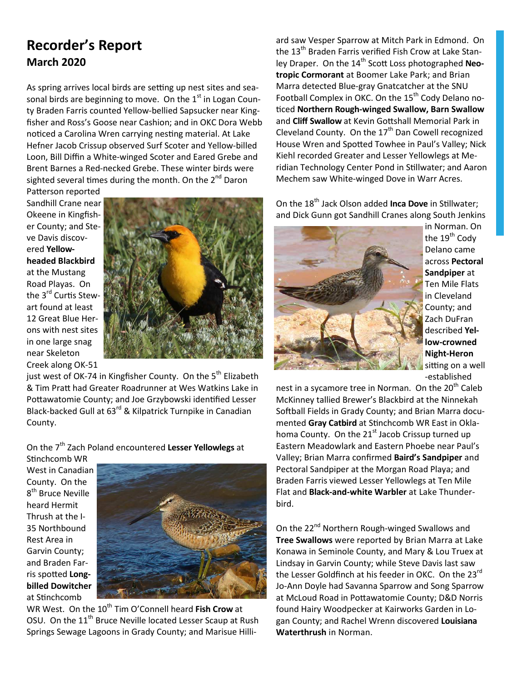#### **Recorder's Report March 2020**

As spring arrives local birds are setting up nest sites and seasonal birds are beginning to move. On the  $1<sup>st</sup>$  in Logan County Braden Farris counted Yellow-bellied Sapsucker near Kingfisher and Ross's Goose near Cashion; and in OKC Dora Webb noticed a Carolina Wren carrying nesting material. At Lake Hefner Jacob Crissup observed Surf Scoter and Yellow-billed Loon, Bill Diffin a White-winged Scoter and Eared Grebe and Brent Barnes a Red-necked Grebe. These winter birds were sighted several times during the month. On the 2<sup>nd</sup> Daron

Patterson reported Sandhill Crane near Okeene in Kingfisher County; and Steve Davis discovered **Yellowheaded Blackbird** at the Mustang Road Playas. On the 3<sup>rd</sup> Curtis Stewart found at least 12 Great Blue Herons with nest sites in one large snag near Skeleton Creek along OK-51



just west of OK-74 in Kingfisher County. On the 5<sup>th</sup> Elizabeth & Tim Pratt had Greater Roadrunner at Wes Watkins Lake in Pottawatomie County; and Joe Grzybowski identified Lesser Black-backed Gull at 63<sup>rd</sup> & Kilpatrick Turnpike in Canadian County.

On the 7th Zach Poland encountered **Lesser Yellowlegs** at

Stinchcomb WR West in Canadian County. On the 8<sup>th</sup> Bruce Neville heard Hermit Thrush at the I-35 Northbound Rest Area in Garvin County; and Braden Farris spotted Long**billed Dowitcher** at Stinchcomb



WR West. On the 10<sup>th</sup> Tim O'Connell heard Fish Crow at OSU. On the 11<sup>th</sup> Bruce Neville located Lesser Scaup at Rush Springs Sewage Lagoons in Grady County; and Marisue Hilliard saw Vesper Sparrow at Mitch Park in Edmond. On the 13<sup>th</sup> Braden Farris verified Fish Crow at Lake Stanley Draper. On the 14<sup>th</sup> Scott Loss photographed Neo**tropic Cormorant** at Boomer Lake Park; and Brian Marra detected Blue-gray Gnatcatcher at the SNU Football Complex in OKC. On the 15<sup>th</sup> Cody Delano no-%ced **Northern Rough-winged Swallow, Barn Swallow** and **Cliff Swallow** at Kevin Gottshall Memorial Park in Cleveland County. On the  $17<sup>th</sup>$  Dan Cowell recognized House Wren and Spotted Towhee in Paul's Valley; Nick Kiehl recorded Greater and Lesser Yellowlegs at Meridian Technology Center Pond in Stillwater; and Aaron Mechem saw White-winged Dove in Warr Acres.

On the 18<sup>th</sup> Jack Olson added **Inca Dove** in Stillwater; and Dick Gunn got Sandhill Cranes along South Jenkins



in Norman. On the 19<sup>th</sup> Cody Delano came across **Pectoral Sandpiper** at Ten Mile Flats in Cleveland County; and Zach DuFran described **Yellow-crowned Night-Heron** sitting on a well -established

nest in a sycamore tree in Norman. On the 20<sup>th</sup> Caleb McKinney tallied Brewer's Blackbird at the Ninnekah Softball Fields in Grady County; and Brian Marra documented Gray Catbird at Stinchcomb WR East in Oklahoma County. On the  $21<sup>st</sup>$  Jacob Crissup turned up Eastern Meadowlark and Eastern Phoebe near Paul's Valley; Brian Marra confirmed **Baird's Sandpiper** and Pectoral Sandpiper at the Morgan Road Playa; and Braden Farris viewed Lesser Yellowlegs at Ten Mile Flat and **Black-and-white Warbler** at Lake Thunderbird.

On the 22<sup>nd</sup> Northern Rough-winged Swallows and **Tree Swallows** were reported by Brian Marra at Lake Konawa in Seminole County, and Mary & Lou Truex at Lindsay in Garvin County; while Steve Davis last saw the Lesser Goldfinch at his feeder in OKC. On the 23<sup>rd</sup> Jo-Ann Doyle had Savanna Sparrow and Song Sparrow at McLoud Road in Pottawatomie County; D&D Norris found Hairy Woodpecker at Kairworks Garden in Logan County; and Rachel Wrenn discovered **Louisiana Waterthrush** in Norman.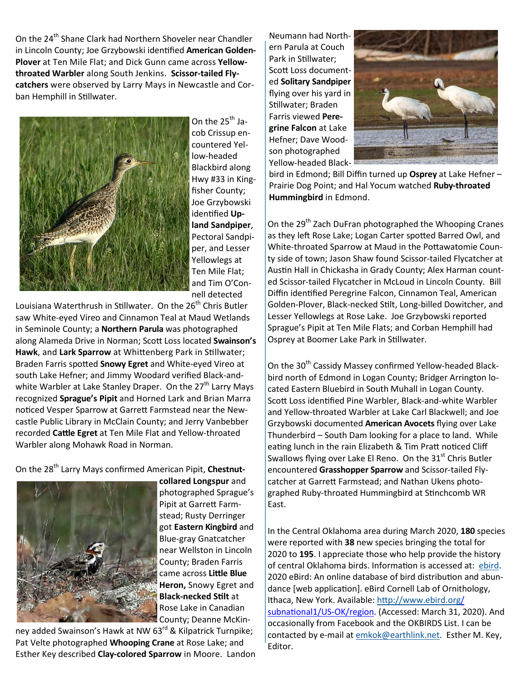On the 24<sup>th</sup> Shane Clark had Northern Shoveler near Chandler in Lincoln County; Joe Grzybowski identified American Golden-**Plover** at Ten Mile Flat; and Dick Gunn came across **Yellowthroated Warbler** along South Jenkins. **Scissor-tailed Flycatchers** were observed by Larry Mays in Newcastle and Corban Hemphill in Stillwater.



On the  $25<sup>th</sup>$  Jacob Crissup encountered Yellow-headed Blackbird along Hwy #33 in Kingfisher County; Joe Grzybowski identified Up**land Sandpiper**, Pectoral Sandpiper, and Lesser Yellowlegs at Ten Mile Flat; and Tim O'Connell detected

Louisiana Waterthrush in Stillwater. On the 26<sup>th</sup> Chris Butler saw White-eyed Vireo and Cinnamon Teal at Maud Wetlands in Seminole County; a **Northern Parula** was photographed along Alameda Drive in Norman; Scott Loss located Swainson's Hawk, and Lark Sparrow at Whittenberg Park in Stillwater; Braden Farris spotted Snowy Egret and White-eyed Vireo at south Lake Hefner; and Jimmy Woodard verified Black-andwhite Warbler at Lake Stanley Draper. On the 27<sup>th</sup> Larry Mays recognized **Sprague's Pipit** and Horned Lark and Brian Marra noticed Vesper Sparrow at Garrett Farmstead near the Newcastle Public Library in McClain County; and Jerry Vanbebber recorded Cattle Egret at Ten Mile Flat and Yellow-throated Warbler along Mohawk Road in Norman.

#### On the 28<sup>th</sup> Larry Mays confirmed American Pipit, Chestnut-



**collared Longspur** and photographed Sprague's Pipit at Garrett Farmstead; Rusty Derringer got **Eastern Kingbird** and Blue-gray Gnatcatcher near Wellston in Lincoln County; Braden Farris came across Little Blue **Heron,** Snowy Egret and **Black-necked Stilt at** Rose Lake in Canadian County; Deanne McKin-

ney added Swainson's Hawk at NW 63<sup>rd</sup> & Kilpatrick Turnpike; Pat Velte photographed **Whooping Crane** at Rose Lake; and Esther Key described **Clay-colored Sparrow** in Moore. Landon Neumann had Northern Parula at Couch Park in Stillwater: Scott Loss documented **Solitary Sandpiper** flying over his yard in Stillwater; Braden Farris viewed **Peregrine Falcon** at Lake Hefner; Dave Woodson photographed Yellow-headed Black-



bird in Edmond; Bill Diffin turned up **Osprey** at Lake Hefner – Prairie Dog Point; and Hal Yocum watched **Ruby-throated Hummingbird** in Edmond.

On the 29<sup>th</sup> Zach DuFran photographed the Whooping Cranes as they left Rose Lake; Logan Carter spotted Barred Owl, and White-throated Sparrow at Maud in the Pottawatomie County side of town; Jason Shaw found Scissor-tailed Flycatcher at Austin Hall in Chickasha in Grady County; Alex Harman counted Scissor-tailed Flycatcher in McLoud in Lincoln County. Bill Diffin identified Peregrine Falcon, Cinnamon Teal, American Golden-Plover, Black-necked Stilt, Long-billed Dowitcher, and Lesser Yellowlegs at Rose Lake. Joe Grzybowski reported Sprague's Pipit at Ten Mile Flats; and Corban Hemphill had Osprey at Boomer Lake Park in Stillwater.

On the 30<sup>th</sup> Cassidy Massey confirmed Yellow-headed Blackbird north of Edmond in Logan County; Bridger Arrington located Eastern Bluebird in South Muhall in Logan County. Scott Loss identified Pine Warbler, Black-and-white Warbler and Yellow-throated Warbler at Lake Carl Blackwell; and Joe Grzybowski documented **American Avocets** flying over Lake Thunderbird – South Dam looking for a place to land. While eating lunch in the rain Elizabeth & Tim Pratt noticed Cliff Swallows flying over Lake El Reno. On the  $31<sup>st</sup>$  Chris Butler encountered **Grasshopper Sparrow** and Scissor-tailed Flycatcher at Garrett Farmstead; and Nathan Ukens photographed Ruby-throated Hummingbird at Stinchcomb WR East.

In the Central Oklahoma area during March 2020, **180** species were reported with **38** new species bringing the total for 2020 to **195**. I appreciate those who help provide the history of central Oklahoma birds. Information is accessed at: ebird. 2020 eBird: An online database of bird distribution and abundance [web application]. eBird Cornell Lab of Ornithology, Ithaca, New York. Available: http://www.ebird.org/ subnational1/US-OK/region. (Accessed: March 31, 2020). And occasionally from Facebook and the OKBIRDS List. I can be contacted by e-mail at emkok@earthlink.net. Esther M. Key, Editor.